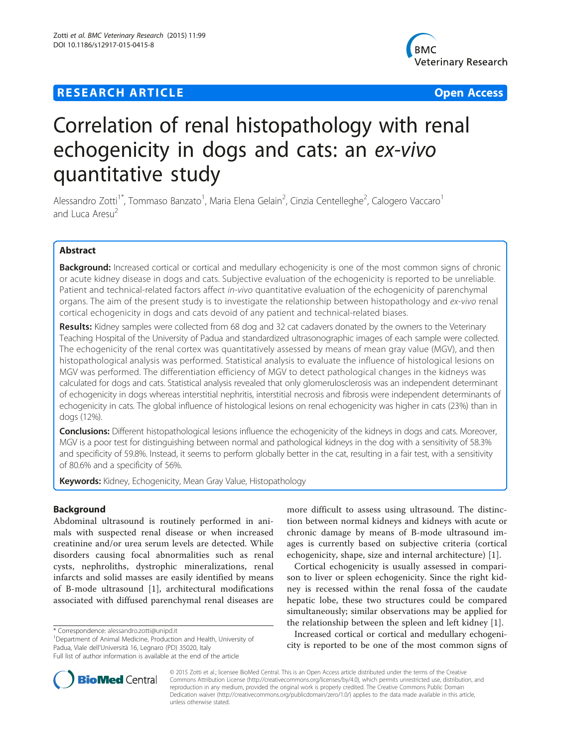## **RESEARCH ARTICLE Example 2014 12:30 The Contract of Contract Contract Contract Contract Contract Contract Contract Contract Contract Contract Contract Contract Contract Contract Contract Contract Contract Contract Contr**



# Correlation of renal histopathology with renal echogenicity in dogs and cats: an ex-vivo quantitative study

Alessandro Zotti<sup>1\*</sup>, Tommaso Banzato<sup>1</sup>, Maria Elena Gelain<sup>2</sup>, Cinzia Centelleghe<sup>2</sup>, Calogero Vaccaro<sup>1</sup> and Luca Aresu<sup>2</sup>

## Abstract

Background: Increased cortical or cortical and medullary echogenicity is one of the most common signs of chronic or acute kidney disease in dogs and cats. Subjective evaluation of the echogenicity is reported to be unreliable. Patient and technical-related factors affect in-vivo quantitative evaluation of the echogenicity of parenchymal organs. The aim of the present study is to investigate the relationship between histopathology and ex-vivo renal cortical echogenicity in dogs and cats devoid of any patient and technical-related biases.

Results: Kidney samples were collected from 68 dog and 32 cat cadavers donated by the owners to the Veterinary Teaching Hospital of the University of Padua and standardized ultrasonographic images of each sample were collected. The echogenicity of the renal cortex was quantitatively assessed by means of mean gray value (MGV), and then histopathological analysis was performed. Statistical analysis to evaluate the influence of histological lesions on MGV was performed. The differentiation efficiency of MGV to detect pathological changes in the kidneys was calculated for dogs and cats. Statistical analysis revealed that only glomerulosclerosis was an independent determinant of echogenicity in dogs whereas interstitial nephritis, interstitial necrosis and fibrosis were independent determinants of echogenicity in cats. The global influence of histological lesions on renal echogenicity was higher in cats (23%) than in dogs (12%).

Conclusions: Different histopathological lesions influence the echogenicity of the kidneys in dogs and cats. Moreover, MGV is a poor test for distinguishing between normal and pathological kidneys in the dog with a sensitivity of 58.3% and specificity of 59.8%. Instead, it seems to perform globally better in the cat, resulting in a fair test, with a sensitivity of 80.6% and a specificity of 56%.

Keywords: Kidney, Echogenicity, Mean Gray Value, Histopathology

## Background

Abdominal ultrasound is routinely performed in animals with suspected renal disease or when increased creatinine and/or urea serum levels are detected. While disorders causing focal abnormalities such as renal cysts, nephroliths, dystrophic mineralizations, renal infarcts and solid masses are easily identified by means of B-mode ultrasound [[1\]](#page-6-0), architectural modifications associated with diffused parenchymal renal diseases are

\* Correspondence: [alessandro.zotti@unipd.it](mailto:alessandro.zotti@unipd.it) <sup>1</sup>

<sup>1</sup>Department of Animal Medicine, Production and Health, University of Padua, Viale dell'Università 16, Legnaro (PD) 35020, Italy



Cortical echogenicity is usually assessed in comparison to liver or spleen echogenicity. Since the right kidney is recessed within the renal fossa of the caudate hepatic lobe, these two structures could be compared simultaneously; similar observations may be applied for the relationship between the spleen and left kidney [\[1](#page-6-0)].

Increased cortical or cortical and medullary echogenicity is reported to be one of the most common signs of



© 2015 Zotti et al.; licensee BioMed Central. This is an Open Access article distributed under the terms of the Creative Commons Attribution License [\(http://creativecommons.org/licenses/by/4.0\)](http://creativecommons.org/licenses/by/4.0), which permits unrestricted use, distribution, and reproduction in any medium, provided the original work is properly credited. The Creative Commons Public Domain Dedication waiver [\(http://creativecommons.org/publicdomain/zero/1.0/](http://creativecommons.org/publicdomain/zero/1.0/)) applies to the data made available in this article, unless otherwise stated.

Full list of author information is available at the end of the article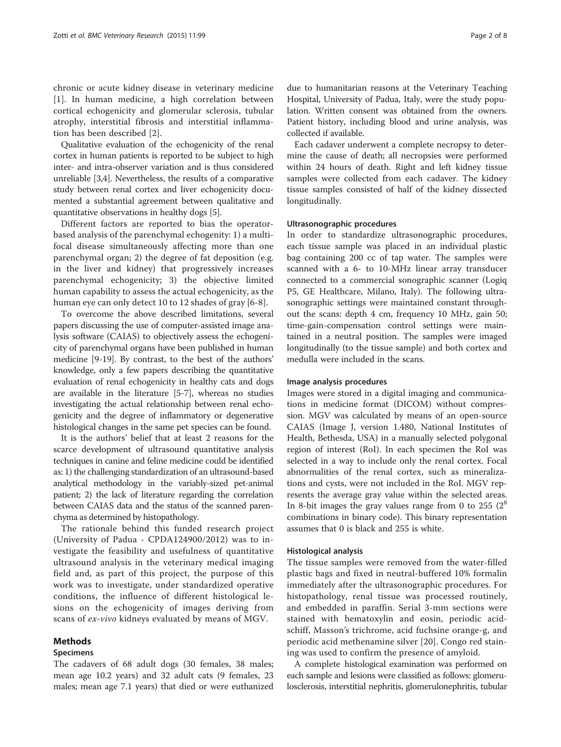chronic or acute kidney disease in veterinary medicine [[1\]](#page-6-0). In human medicine, a high correlation between cortical echogenicity and glomerular sclerosis, tubular atrophy, interstitial fibrosis and interstitial inflammation has been described [\[2](#page-6-0)].

Qualitative evaluation of the echogenicity of the renal cortex in human patients is reported to be subject to high inter- and intra-observer variation and is thus considered unreliable [\[3,4](#page-6-0)]. Nevertheless, the results of a comparative study between renal cortex and liver echogenicity documented a substantial agreement between qualitative and quantitative observations in healthy dogs [[5](#page-6-0)].

Different factors are reported to bias the operatorbased analysis of the parenchymal echogenity: 1) a multifocal disease simultaneously affecting more than one parenchymal organ; 2) the degree of fat deposition (e.g. in the liver and kidney) that progressively increases parenchymal echogenicity; 3) the objective limited human capability to assess the actual echogenicity, as the human eye can only detect 10 to 12 shades of gray [[6-](#page-6-0)[8](#page-7-0)].

To overcome the above described limitations, several papers discussing the use of computer-assisted image analysis software (CAIAS) to objectively assess the echogenicity of parenchymal organs have been published in human medicine [\[9](#page-7-0)-[19](#page-7-0)]. By contrast, to the best of the authors' knowledge, only a few papers describing the quantitative evaluation of renal echogenicity in healthy cats and dogs are available in the literature [\[5](#page-6-0)-[7](#page-7-0)], whereas no studies investigating the actual relationship between renal echogenicity and the degree of inflammatory or degenerative histological changes in the same pet species can be found.

It is the authors' belief that at least 2 reasons for the scarce development of ultrasound quantitative analysis techniques in canine and feline medicine could be identified as: 1) the challenging standardization of an ultrasound-based analytical methodology in the variably-sized pet-animal patient; 2) the lack of literature regarding the correlation between CAIAS data and the status of the scanned parenchyma as determined by histopathology.

The rationale behind this funded research project (University of Padua - CPDA124900/2012) was to investigate the feasibility and usefulness of quantitative ultrasound analysis in the veterinary medical imaging field and, as part of this project, the purpose of this work was to investigate, under standardized operative conditions, the influence of different histological lesions on the echogenicity of images deriving from scans of *ex-vivo* kidneys evaluated by means of MGV.

## Methods

#### Specimens

The cadavers of 68 adult dogs (30 females, 38 males; mean age 10.2 years) and 32 adult cats (9 females, 23 males; mean age 7.1 years) that died or were euthanized

due to humanitarian reasons at the Veterinary Teaching Hospital, University of Padua, Italy, were the study population. Written consent was obtained from the owners. Patient history, including blood and urine analysis, was collected if available.

Each cadaver underwent a complete necropsy to determine the cause of death; all necropsies were performed within 24 hours of death. Right and left kidney tissue samples were collected from each cadaver. The kidney tissue samples consisted of half of the kidney dissected longitudinally.

### Ultrasonographic procedures

In order to standardize ultrasonographic procedures, each tissue sample was placed in an individual plastic bag containing 200 cc of tap water. The samples were scanned with a 6- to 10-MHz linear array transducer connected to a commercial sonographic scanner (Logiq P5, GE Healthcare, Milano, Italy). The following ultrasonographic settings were maintained constant throughout the scans: depth 4 cm, frequency 10 MHz, gain 50; time-gain-compensation control settings were maintained in a neutral position. The samples were imaged longitudinally (to the tissue sample) and both cortex and medulla were included in the scans.

## Image analysis procedures

Images were stored in a digital imaging and communications in medicine format (DICOM) without compression. MGV was calculated by means of an open-source CAIAS (Image J, version 1.480, National Institutes of Health, Bethesda, USA) in a manually selected polygonal region of interest (RoI). In each specimen the RoI was selected in a way to include only the renal cortex. Focal abnormalities of the renal cortex, such as mineralizations and cysts, were not included in the RoI. MGV represents the average gray value within the selected areas. In 8-bit images the gray values range from 0 to  $255 \ (2^8)$ combinations in binary code). This binary representation assumes that 0 is black and 255 is white.

#### Histological analysis

The tissue samples were removed from the water-filled plastic bags and fixed in neutral-buffered 10% formalin immediately after the ultrasonographic procedures. For histopathology, renal tissue was processed routinely, and embedded in paraffin. Serial 3-mm sections were stained with hematoxylin and eosin, periodic acidschiff, Masson's trichrome, acid fuchsine orange-g, and periodic acid methenamine silver [[20\]](#page-7-0). Congo red staining was used to confirm the presence of amyloid.

A complete histological examination was performed on each sample and lesions were classified as follows: glomerulosclerosis, interstitial nephritis, glomerulonephritis, tubular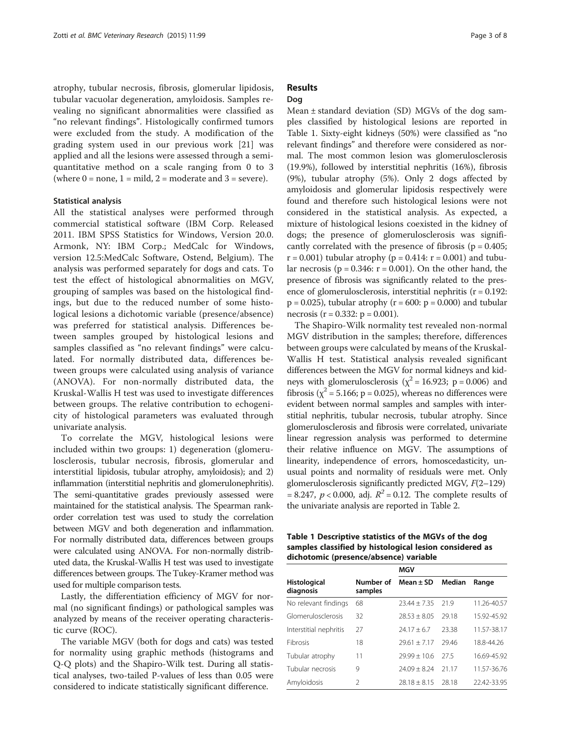atrophy, tubular necrosis, fibrosis, glomerular lipidosis, tubular vacuolar degeneration, amyloidosis. Samples revealing no significant abnormalities were classified as "no relevant findings". Histologically confirmed tumors were excluded from the study. A modification of the grading system used in our previous work [\[21](#page-7-0)] was applied and all the lesions were assessed through a semiquantitative method on a scale ranging from 0 to 3 (where  $0 = none$ ,  $1 = mild$ ,  $2 = moderate$  and  $3 = severe$ ).

#### Statistical analysis

All the statistical analyses were performed through commercial statistical software (IBM Corp. Released 2011. IBM SPSS Statistics for Windows, Version 20.0. Armonk, NY: IBM Corp.; MedCalc for Windows, version 12.5:MedCalc Software, Ostend, Belgium). The analysis was performed separately for dogs and cats. To test the effect of histological abnormalities on MGV, grouping of samples was based on the histological findings, but due to the reduced number of some histological lesions a dichotomic variable (presence/absence) was preferred for statistical analysis. Differences between samples grouped by histological lesions and samples classified as "no relevant findings" were calculated. For normally distributed data, differences between groups were calculated using analysis of variance (ANOVA). For non-normally distributed data, the Kruskal-Wallis H test was used to investigate differences between groups. The relative contribution to echogenicity of histological parameters was evaluated through univariate analysis.

To correlate the MGV, histological lesions were included within two groups: 1) degeneration (glomerulosclerosis, tubular necrosis, fibrosis, glomerular and interstitial lipidosis, tubular atrophy, amyloidosis); and 2) inflammation (interstitial nephritis and glomerulonephritis). The semi-quantitative grades previously assessed were maintained for the statistical analysis. The Spearman rankorder correlation test was used to study the correlation between MGV and both degeneration and inflammation. For normally distributed data, differences between groups were calculated using ANOVA. For non-normally distributed data, the Kruskal-Wallis H test was used to investigate differences between groups. The Tukey-Kramer method was used for multiple comparison tests.

Lastly, the differentiation efficiency of MGV for normal (no significant findings) or pathological samples was analyzed by means of the receiver operating characteristic curve (ROC).

The variable MGV (both for dogs and cats) was tested for normality using graphic methods (histograms and Q-Q plots) and the Shapiro-Wilk test. During all statistical analyses, two-tailed P-values of less than 0.05 were considered to indicate statistically significant difference.

## Results

## Dog

Mean ± standard deviation (SD) MGVs of the dog samples classified by histological lesions are reported in Table 1. Sixty-eight kidneys (50%) were classified as "no relevant findings" and therefore were considered as normal. The most common lesion was glomerulosclerosis (19.9%), followed by interstitial nephritis (16%), fibrosis (9%), tubular atrophy (5%). Only 2 dogs affected by amyloidosis and glomerular lipidosis respectively were found and therefore such histological lesions were not considered in the statistical analysis. As expected, a mixture of histological lesions coexisted in the kidney of dogs; the presence of glomerulosclerosis was significantly correlated with the presence of fibrosis ( $p = 0.405$ ;  $r = 0.001$ ) tubular atrophy ( $p = 0.414$ :  $r = 0.001$ ) and tubular necrosis ( $p = 0.346$ :  $r = 0.001$ ). On the other hand, the presence of fibrosis was significantly related to the presence of glomerulosclerosis, interstitial nephritis  $(r = 0.192$ :  $p = 0.025$ ), tubular atrophy ( $r = 600$ :  $p = 0.000$ ) and tubular necrosis ( $r = 0.332$ :  $p = 0.001$ ).

The Shapiro-Wilk normality test revealed non-normal MGV distribution in the samples; therefore, differences between groups were calculated by means of the Kruskal-Wallis H test. Statistical analysis revealed significant differences between the MGV for normal kidneys and kidneys with glomerulosclerosis ( $\chi^2$  = 16.923; p = 0.006) and fibrosis ( $\chi^2$  = 5.166; p = 0.025), whereas no differences were evident between normal samples and samples with interstitial nephritis, tubular necrosis, tubular atrophy. Since glomerulosclerosis and fibrosis were correlated, univariate linear regression analysis was performed to determine their relative influence on MGV. The assumptions of linearity, independence of errors, homoscedasticity, unusual points and normality of residuals were met. Only glomerulosclerosis significantly predicted MGV, F(2–129) = 8.247,  $p < 0.000$ , adj.  $R^2 = 0.12$ . The complete results of the univariate analysis are reported in Table [2](#page-3-0).

Table 1 Descriptive statistics of the MGVs of the dog samples classified by histological lesion considered as dichotomic (presence/absence) variable

|                           |                      | MGV            |        |             |
|---------------------------|----------------------|----------------|--------|-------------|
| Histological<br>diagnosis | Number of<br>samples | Mean $\pm$ SD  | Median | Range       |
| No relevant findings      | 68                   | $73.44 + 7.35$ | 219    | 11.26-40.57 |
| Glomerulosclerosis        | 32                   | $28.53 + 8.05$ | 2918   | 15.92-45.92 |
| Interstitial nephritis    | 27                   | $24.17 + 6.7$  | 23.38  | 11.57-38.17 |
| Fibrosis                  | 18                   | $79.61 + 7.17$ | 29.46  | 18.8-44.26  |
| Tubular atrophy           | 11                   | $7999 + 106$   | 275    | 16.69-45.92 |
| Tubular necrosis          | 9                    | $74.09 + 8.74$ | 2117   | 11.57-36.76 |
| Amyloidosis               | $\mathcal{P}$        | $28.18 + 8.15$ | 28.18  | 22.42-33.95 |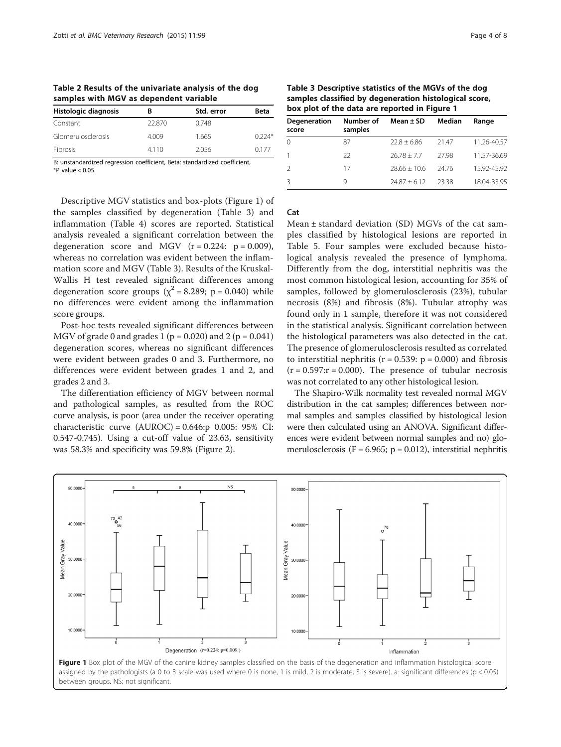<span id="page-3-0"></span>Table 2 Results of the univariate analysis of the dog samples with MGV as dependent variable

| Histologic diagnosis | в      | Std. error | Beta     |
|----------------------|--------|------------|----------|
| Constant             | 22.870 | 0.748      |          |
| Glomerulosclerosis   | 4.009  | 1.665      | $0.224*$ |
| <b>Fibrosis</b>      | 4.110  | 2.056      | 0.177    |
|                      |        |            |          |

Descriptive MGV statistics and box-plots (Figure 1) of the samples classified by degeneration (Table 3) and inflammation (Table [4\)](#page-4-0) scores are reported. Statistical analysis revealed a significant correlation between the degeneration score and MGV  $(r = 0.224; p = 0.009)$ , whereas no correlation was evident between the inflammation score and MGV (Table 3). Results of the Kruskal-Wallis H test revealed significant differences among degeneration score groups ( $\chi^2$  = 8.289; p = 0.040) while no differences were evident among the inflammation

Post-hoc tests revealed significant differences between MGV of grade 0 and grades 1 ( $p = 0.020$ ) and 2 ( $p = 0.041$ ) degeneration scores, whereas no significant differences were evident between grades 0 and 3. Furthermore, no differences were evident between grades 1 and 2, and

The differentiation efficiency of MGV between normal and pathological samples, as resulted from the ROC curve analysis, is poor (area under the receiver operating characteristic curve (AUROC) = 0.646:p 0.005: 95% CI: 0.547-0.745). Using a cut-off value of 23.63, sensitivity

was 58.3% and specificity was 59.8% (Figure [2](#page-4-0)).

B: unstandardized regression coefficient, Beta: standardized coefficient,  $*$ P value < 0.05.

score groups.

grades 2 and 3.

| Table 3 Descriptive statistics of the MGVs of the dog  |
|--------------------------------------------------------|
| samples classified by degeneration histological score, |
| box plot of the data are reported in Figure 1          |

| Degeneration<br>score | Number of<br>samples | Mean $\pm$ SD  | Median | Range       |  |
|-----------------------|----------------------|----------------|--------|-------------|--|
| $\Omega$              | 87                   | $22.8 + 6.86$  | 21.47  | 11.26-40.57 |  |
|                       | フフ                   | $26.78 + 7.7$  | 27.98  | 11.57-36.69 |  |
| 2                     | 17                   | $78.66 + 10.6$ | 24.76  | 15.92-45.92 |  |
|                       | 9                    | $74.87 + 6.12$ | 2338   | 18.04-33.95 |  |

Cat

Mean ± standard deviation (SD) MGVs of the cat samples classified by histological lesions are reported in Table [5.](#page-4-0) Four samples were excluded because histological analysis revealed the presence of lymphoma. Differently from the dog, interstitial nephritis was the most common histological lesion, accounting for 35% of samples, followed by glomerulosclerosis (23%), tubular necrosis (8%) and fibrosis (8%). Tubular atrophy was found only in 1 sample, therefore it was not considered in the statistical analysis. Significant correlation between the histological parameters was also detected in the cat. The presence of glomerulosclerosis resulted as correlated to interstitial nephritis ( $r = 0.539$ :  $p = 0.000$ ) and fibrosis  $(r = 0.597:r = 0.000)$ . The presence of tubular necrosis was not correlated to any other histological lesion.

The Shapiro-Wilk normality test revealed normal MGV distribution in the cat samples; differences between normal samples and samples classified by histological lesion were then calculated using an ANOVA. Significant differences were evident between normal samples and no) glomerulosclerosis (F = 6.965; p = 0.012), interstitial nephritis



between groups. NS: not significant.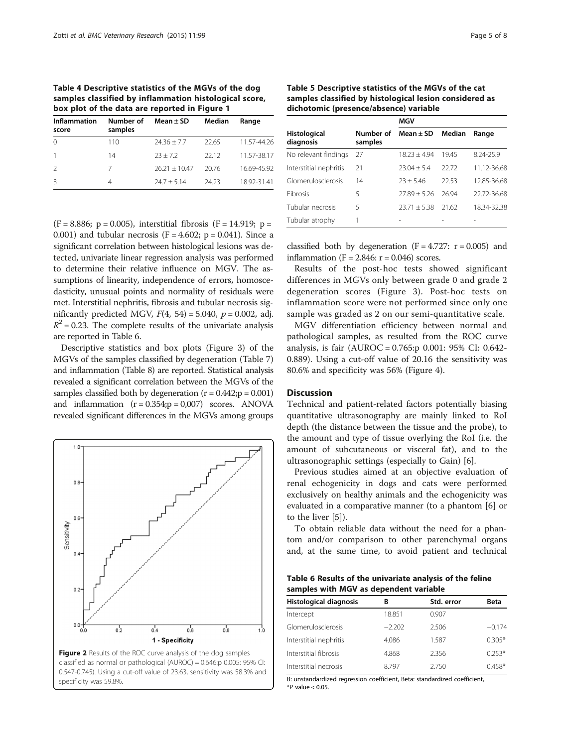<span id="page-4-0"></span>Table 4 Descriptive statistics of the MGVs of the dog samples classified by inflammation histological score, box plot of the data are reported in Figure [1](#page-3-0)

| <b>Inflammation</b><br>score | Number of<br>samples | Mean $\pm$ SD     | Median | Range       |  |
|------------------------------|----------------------|-------------------|--------|-------------|--|
| $\Omega$                     | 110                  | $24.36 + 7.7$     | 22.65  | 11.57-44.26 |  |
|                              | 14                   | $23 + 7.2$        | 22.12  | 11.57-38.17 |  |
|                              |                      | $26.21 \pm 10.47$ | 20.76  | 16.69-45.92 |  |
|                              | 4                    | $74.7 + 5.14$     | 24.23  | 18.92-31.41 |  |
|                              |                      |                   |        |             |  |

 $(F = 8.886; p = 0.005)$ , interstitial fibrosis  $(F = 14.919; p = 14.919)$ 0.001) and tubular necrosis ( $F = 4.602$ ;  $p = 0.041$ ). Since a significant correlation between histological lesions was detected, univariate linear regression analysis was performed to determine their relative influence on MGV. The assumptions of linearity, independence of errors, homoscedasticity, unusual points and normality of residuals were met. Interstitial nephritis, fibrosis and tubular necrosis significantly predicted MGV,  $F(4, 54) = 5.040$ ,  $p = 0.002$ , adj.  $R^2$  = 0.23. The complete results of the univariate analysis are reported in Table 6.

Descriptive statistics and box plots (Figure [3](#page-5-0)) of the MGVs of the samples classified by degeneration (Table [7](#page-5-0)) and inflammation (Table [8\)](#page-5-0) are reported. Statistical analysis revealed a significant correlation between the MGVs of the samples classified both by degeneration  $(r = 0.442; p = 0.001)$ and inflammation  $(r = 0.354; p = 0.007)$  scores. ANOVA revealed significant differences in the MGVs among groups



classified as normal or pathological (AUROC) = 0.646:p 0.005: 95% CI: 0.547-0.745). Using a cut-off value of 23.63, sensitivity was 58.3% and specificity was 59.8%.

| Table 5 Descriptive statistics of the MGVs of the cat   |
|---------------------------------------------------------|
| samples classified by histological lesion considered as |
| dichotomic (presence/absence) variable                  |

|                                  |                      | MGV            |        |             |
|----------------------------------|----------------------|----------------|--------|-------------|
| <b>Histological</b><br>diagnosis | Number of<br>samples | Mean $\pm$ SD  | Median | Range       |
| No relevant findings             | 27                   | $18.23 + 4.94$ | 1945   | 8.24-25.9   |
| Interstitial nephritis           | 21                   | $23.04 + 5.4$  | 22.72  | 11.12-36.68 |
| Glomerulosclerosis               | 14                   | $23 + 5.46$    | 22.53  | 12.85-36.68 |
| Fibrosis                         | 5                    | $77.89 + 5.26$ | 2694   | 22.72-36.68 |
| Tubular necrosis                 | 5                    | $23.71 + 5.38$ | 21.62  | 18.34-32.38 |
| Tubular atrophy                  |                      |                |        |             |

classified both by degeneration  $(F = 4.727: r = 0.005)$  and inflammation ( $F = 2.846$ :  $r = 0.046$ ) scores.

Results of the post-hoc tests showed significant differences in MGVs only between grade 0 and grade 2 degeneration scores (Figure [3\)](#page-5-0). Post-hoc tests on inflammation score were not performed since only one sample was graded as 2 on our semi-quantitative scale.

MGV differentiation efficiency between normal and pathological samples, as resulted from the ROC curve analysis, is fair (AUROC = 0.765:p 0.001: 95% CI: 0.642- 0.889). Using a cut-off value of 20.16 the sensitivity was 80.6% and specificity was 56% (Figure [4](#page-6-0)).

## **Discussion**

Technical and patient-related factors potentially biasing quantitative ultrasonography are mainly linked to RoI depth (the distance between the tissue and the probe), to the amount and type of tissue overlying the RoI (i.e. the amount of subcutaneous or visceral fat), and to the ultrasonographic settings (especially to Gain) [\[6](#page-6-0)].

Previous studies aimed at an objective evaluation of renal echogenicity in dogs and cats were performed exclusively on healthy animals and the echogenicity was evaluated in a comparative manner (to a phantom [[6](#page-6-0)] or to the liver [[5](#page-6-0)]).

To obtain reliable data without the need for a phantom and/or comparison to other parenchymal organs and, at the same time, to avoid patient and technical

Table 6 Results of the univariate analysis of the feline samples with MGV as dependent variable

| Histological diagnosis | в        | Std. error | <b>Beta</b> |
|------------------------|----------|------------|-------------|
| Intercept              | 18.851   | 0.907      |             |
| Glomerulosclerosis     | $-2.202$ | 2.506      | $-0.174$    |
| Interstitial nephritis | 4.086    | 1.587      | $0.305*$    |
| Interstitial fibrosis  | 4.868    | 2.356      | $0.253*$    |
| Interstitial necrosis  | 8797     | 2.750      | $0.458*$    |

B: unstandardized regression coefficient, Beta: standardized coefficient,  $*P$  value  $< 0.05$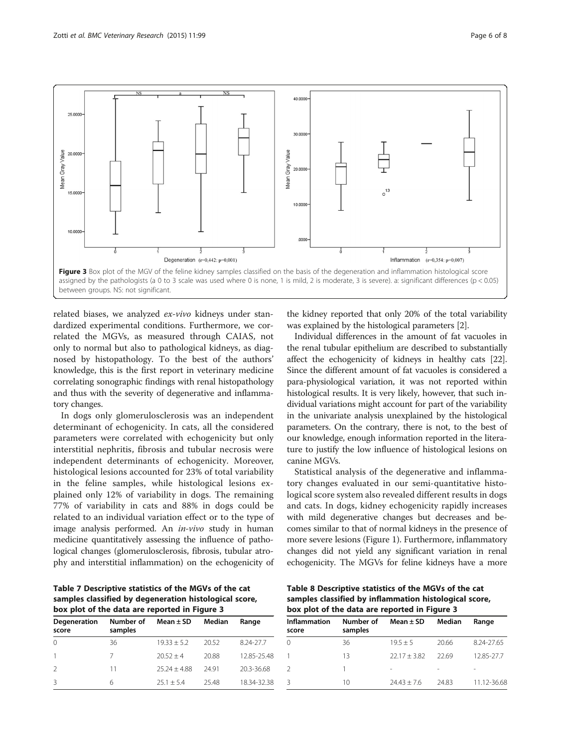<span id="page-5-0"></span>

related biases, we analyzed ex-vivo kidneys under standardized experimental conditions. Furthermore, we correlated the MGVs, as measured through CAIAS, not only to normal but also to pathological kidneys, as diagnosed by histopathology. To the best of the authors' knowledge, this is the first report in veterinary medicine correlating sonographic findings with renal histopathology and thus with the severity of degenerative and inflammatory changes.

In dogs only glomerulosclerosis was an independent determinant of echogenicity. In cats, all the considered parameters were correlated with echogenicity but only interstitial nephritis, fibrosis and tubular necrosis were independent determinants of echogenicity. Moreover, histological lesions accounted for 23% of total variability in the feline samples, while histological lesions explained only 12% of variability in dogs. The remaining 77% of variability in cats and 88% in dogs could be related to an individual variation effect or to the type of image analysis performed. An *in-vivo* study in human medicine quantitatively assessing the influence of pathological changes (glomerulosclerosis, fibrosis, tubular atrophy and interstitial inflammation) on the echogenicity of

Table 7 Descriptive statistics of the MGVs of the cat samples classified by degeneration histological score, box plot of the data are reported in Figure 3

| Degeneration<br>score | Number of<br>samples | Mean $\pm$ SD   | Median | Range       |
|-----------------------|----------------------|-----------------|--------|-------------|
| $\Omega$              | 36                   | $19.33 \pm 5.2$ | 20.52  | 8.24-27.7   |
|                       |                      | $20.52 + 4$     | 20.88  | 12.85-25.48 |
|                       | 11                   | $25.24 + 4.88$  | 2491   | 20.3-36.68  |
|                       | 6                    | $25.1 + 5.4$    | 25.48  | 18.34-32.38 |

the kidney reported that only 20% of the total variability was explained by the histological parameters [\[2](#page-6-0)].

Individual differences in the amount of fat vacuoles in the renal tubular epithelium are described to substantially affect the echogenicity of kidneys in healthy cats [[22](#page-7-0)]. Since the different amount of fat vacuoles is considered a para-physiological variation, it was not reported within histological results. It is very likely, however, that such individual variations might account for part of the variability in the univariate analysis unexplained by the histological parameters. On the contrary, there is not, to the best of our knowledge, enough information reported in the literature to justify the low influence of histological lesions on canine MGVs.

Statistical analysis of the degenerative and inflammatory changes evaluated in our semi-quantitative histological score system also revealed different results in dogs and cats. In dogs, kidney echogenicity rapidly increases with mild degenerative changes but decreases and becomes similar to that of normal kidneys in the presence of more severe lesions (Figure [1](#page-3-0)). Furthermore, inflammatory changes did not yield any significant variation in renal echogenicity. The MGVs for feline kidneys have a more

Table 8 Descriptive statistics of the MGVs of the cat samples classified by inflammation histological score, box plot of the data are reported in Figure 3

| <b>Inflammation</b><br>score | Number of<br>samples | Mean $\pm$ SD  | Median | Range       |
|------------------------------|----------------------|----------------|--------|-------------|
| $\Omega$                     | 36                   | $19.5 + 5$     | 20.66  | 8.24-27.65  |
|                              | 13                   | $22.17 + 3.82$ | 22.69  | 12.85-27.7  |
|                              |                      |                |        |             |
|                              | 10                   | $7443 + 76$    | 2483   | 11.12-36.68 |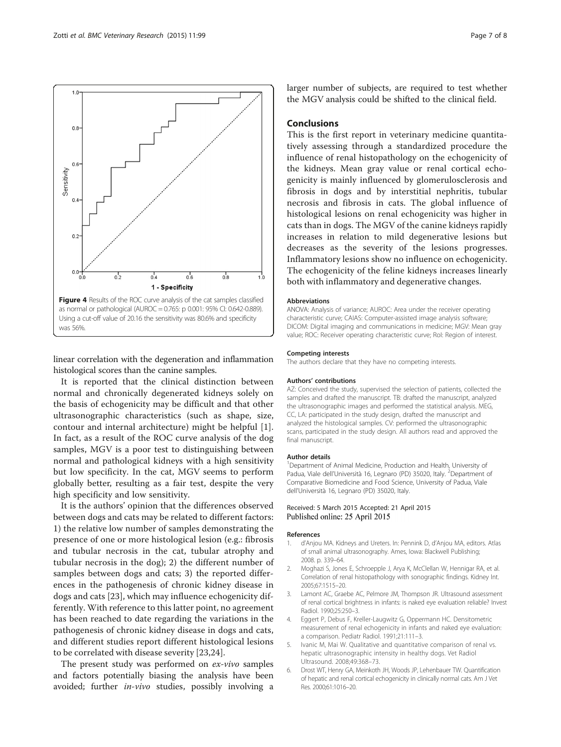<span id="page-6-0"></span>

linear correlation with the degeneration and inflammation histological scores than the canine samples.

It is reported that the clinical distinction between normal and chronically degenerated kidneys solely on the basis of echogenicity may be difficult and that other ultrasonographic characteristics (such as shape, size, contour and internal architecture) might be helpful [1]. In fact, as a result of the ROC curve analysis of the dog samples, MGV is a poor test to distinguishing between normal and pathological kidneys with a high sensitivity but low specificity. In the cat, MGV seems to perform globally better, resulting as a fair test, despite the very high specificity and low sensitivity.

It is the authors' opinion that the differences observed between dogs and cats may be related to different factors: 1) the relative low number of samples demonstrating the presence of one or more histological lesion (e.g.: fibrosis and tubular necrosis in the cat, tubular atrophy and tubular necrosis in the dog); 2) the different number of samples between dogs and cats; 3) the reported differences in the pathogenesis of chronic kidney disease in dogs and cats [\[23](#page-7-0)], which may influence echogenicity differently. With reference to this latter point, no agreement has been reached to date regarding the variations in the pathogenesis of chronic kidney disease in dogs and cats, and different studies report different histological lesions to be correlated with disease severity [\[23](#page-7-0),[24\]](#page-7-0).

The present study was performed on ex-vivo samples and factors potentially biasing the analysis have been avoided; further in-vivo studies, possibly involving a larger number of subjects, are required to test whether the MGV analysis could be shifted to the clinical field.

## Conclusions

This is the first report in veterinary medicine quantitatively assessing through a standardized procedure the influence of renal histopathology on the echogenicity of the kidneys. Mean gray value or renal cortical echogenicity is mainly influenced by glomerulosclerosis and fibrosis in dogs and by interstitial nephritis, tubular necrosis and fibrosis in cats. The global influence of histological lesions on renal echogenicity was higher in cats than in dogs. The MGV of the canine kidneys rapidly increases in relation to mild degenerative lesions but decreases as the severity of the lesions progresses. Inflammatory lesions show no influence on echogenicity. The echogenicity of the feline kidneys increases linearly both with inflammatory and degenerative changes.

#### Abbreviations

ANOVA: Analysis of variance; AUROC: Area under the receiver operating characteristic curve; CAIAS: Computer-assisted image analysis software; DICOM: Digital imaging and communications in medicine; MGV: Mean gray value; ROC: Receiver operating characteristic curve; RoI: Region of interest.

#### Competing interests

The authors declare that they have no competing interests.

#### Authors' contributions

AZ: Conceived the study, supervised the selection of patients, collected the samples and drafted the manuscript. TB: drafted the manuscript, analyzed the ultrasonographic images and performed the statistical analysis. MEG, CC, LA: participated in the study design, drafted the manuscript and analyzed the histological samples. CV: performed the ultrasonographic scans, participated in the study design. All authors read and approved the final manuscript.

#### Author details

<sup>1</sup>Department of Animal Medicine, Production and Health, University of Padua, Viale dell'Università 16, Legnaro (PD) 35020, Italy. <sup>2</sup>Department of Comparative Biomedicine and Food Science, University of Padua, Viale dell'Università 16, Legnaro (PD) 35020, Italy.

### Received: 5 March 2015 Accepted: 21 April 2015 Published online: 25 April 2015

#### References

- 1. d'Anjou MA. Kidneys and Ureters. In: Pennink D, d'Anjou MA, editors. Atlas of small animal ultrasonography. Ames, Iowa: Blackwell Publishing; 2008. p. 339–64.
- 2. Moghazi S, Jones E, Schroepple J, Arya K, McClellan W, Hennigar RA, et al. Correlation of renal histopathology with sonographic findings. Kidney Int. 2005;67:1515–20.
- 3. Lamont AC, Graebe AC, Pelmore JM, Thompson JR. Ultrasound assessment of renal cortical brightness in infants: is naked eye evaluation reliable? Invest Radiol. 1990;25:250–3.
- 4. Eggert P, Debus F, Kreller-Laugwitz G, Oppermann HC. Densitometric measurement of renal echogenicity in infants and naked eye evaluation: a comparison. Pediatr Radiol. 1991;21:111–3.
- 5. Ivanic M, Mai W. Qualitative and quantitative comparison of renal vs. hepatic ultrasonographic intensity in healthy dogs. Vet Radiol Ultrasound. 2008;49:368–73.
- 6. Drost WT, Henry GA, Meinkoth JH, Woods JP, Lehenbauer TW. Quantification of hepatic and renal cortical echogenicity in clinically normal cats. Am J Vet Res. 2000;61:1016–20.